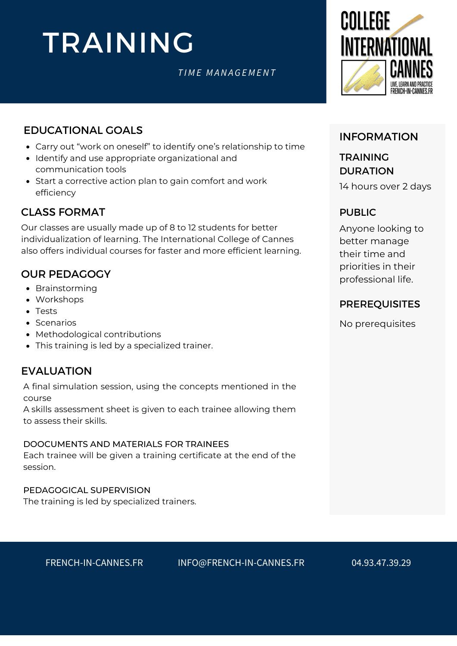# TRAINING

# *T I M E M ANA G E M ENT*



# EDUCATIONAL GOALS

- Carry out "work on oneself" to identify one's relationship to time
- Identify and use appropriate organizational and communication tools
- Start a corrective action plan to gain comfort and work efficiency

# CLASS FORMAT

Our classes are usually made up of 8 to 12 students for better individualization of learning. The International College of Cannes also offers individual courses for faster and more efficient learning.

# OUR PEDAGOGY

- Brainstorming
- Workshops
- Tests
- Scenarios
- Methodological contributions
- This training is led by a specialized trainer.

# EVALUATION

A final simulation session, using the concepts mentioned in the course

A skills assessment sheet is given to each trainee allowing them to assess their skills.

### DOOCUMENTS AND MATERIALS FOR TRAINEES

Each trainee will be given a training certificate at the end of the session.

### PEDAGOGICAL SUPERVISION

The training is led by specialized trainers.

# INFORMATION

# TRAINING DURATION

14 hours over 2 days

# PUBLIC

Anyone looking to better manage their time and priorities in their professional life.

# [PREREQUISITES](https://college360fr.wpcomstaging.com/en/francais-economie-bleue/)

No prerequisites

FRENCH-IN-CANNES.FR INFO@FRENCH-IN-CANNES.FR 04.93.47.39.29